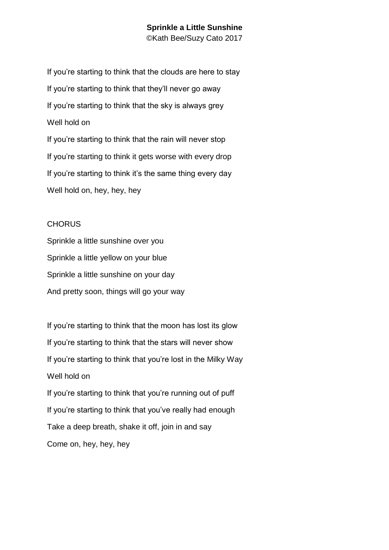# **Sprinkle a Little Sunshine**

©Kath Bee/Suzy Cato 2017

If you're starting to think that the clouds are here to stay If you're starting to think that they'll never go away If you're starting to think that the sky is always grey Well hold on If you're starting to think that the rain will never stop If you're starting to think it gets worse with every drop If you're starting to think it's the same thing every day Well hold on, hey, hey, hey

### CHORUS

Sprinkle a little sunshine over you Sprinkle a little yellow on your blue Sprinkle a little sunshine on your day And pretty soon, things will go your way

If you're starting to think that the moon has lost its glow If you're starting to think that the stars will never show If you're starting to think that you're lost in the Milky Way Well hold on If you're starting to think that you're running out of puff If you're starting to think that you've really had enough Take a deep breath, shake it off, join in and say Come on, hey, hey, hey